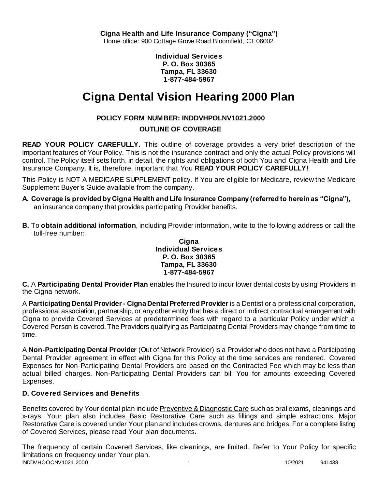**Individual Services P. O. Box 30365 Tampa, FL 33630 1-877-484-5967**

# **Cigna Dental Vision Hearing 2000 Plan**

# **POLICY FORM NUMBER: INDDVHPOLNV1021.2000**

# **OUTLINE OF COVERAGE**

**READ YOUR POLICY CAREFULLY.** This outline of coverage provides a very brief description of the important features of Your Policy. This is not the insurance contract and only the actual Policy provisions will control. The Policy itself sets forth, in detail, the rights and obligations of both You and Cigna Health and Life Insurance Company. It is, therefore, important that You **READ YOUR POLICY CAREFULLY!** 

This Policy is NOT A MEDICARE SUPPLEMENT policy. If You are eligible for Medicare, review the Medicare Supplement Buyer's Guide available from the company.

- **A. Coverage is provided by Cigna Health and Life Insurance Company (referred to herein as "Cigna"),**  an insurance company that provides participating Provider benefits.
- **B.** To **obtain additional information**, including Provider information, write to the following address or call the toll-free number:

### **Cigna Individual Services P. O. Box 30365 Tampa, FL 33630 1-877-484-5967**

**C.** A **Participating Dental Provider Plan** enables the Insured to incur lower dental costs by using Providers in the Cigna network.

A **Participating Dental Provider - Cigna Dental Preferred Provider** is a Dentist or a professional corporation, professional association, partnership, or any other entity that has a direct or indirect contractual arrangement with Cigna to provide Covered Services at predetermined fees with regard to a particular Policy under which a Covered Person is covered. The Providers qualifying as Participating Dental Providers may change from time to time.

A **Non-Participating Dental Provider** (Out of Network Provider) is a Provider who does not have a Participating Dental Provider agreement in effect with Cigna for this Policy at the time services are rendered. Covered Expenses for Non-Participating Dental Providers are based on the Contracted Fee which may be less than actual billed charges. Non-Participating Dental Providers can bill You for amounts exceeding Covered Expenses.

# **D. Covered Services and Benefits**

Benefits covered by Your dental plan include Preventive & Diagnostic Care such as oral exams, cleanings and x-rays. Your plan also includes Basic Restorative Care such as fillings and simple extractions. Major Restorative Care is covered under Your plan and includes crowns, dentures and bridges. For a complete listing of Covered Services, please read Your plan documents.

INDDVHOOCNV1021.2000 1 10/2021 941438 The frequency of certain Covered Services, like cleanings, are limited. Refer to Your Policy for specific limitations on frequency under Your plan.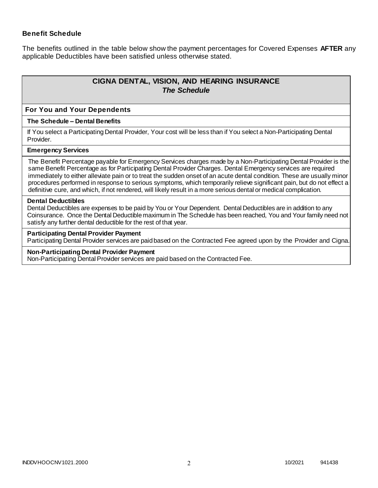### **Benefit Schedule**

The benefits outlined in the table below show the payment percentages for Covered Expenses **AFTER** any applicable Deductibles have been satisfied unless otherwise stated.

# **CIGNA DENTAL, VISION, AND HEARING INSURANCE** *The Schedule*

#### **For You and Your Dependents**

#### **The Schedule – Dental Benefits**

If You select a Participating Dental Provider, Your cost will be less than if You select a Non-Participating Dental Provider.

#### **Emergency Services**

The Benefit Percentage payable for Emergency Services charges made by a Non-Participating Dental Provider is the same Benefit Percentage as for Participating Dental Provider Charges. Dental Emergency services are required immediately to either alleviate pain or to treat the sudden onset of an acute dental condition. These are usually minor procedures performed in response to serious symptoms, which temporarily relieve significant pain, but do not effect a definitive cure, and which, if not rendered, will likely result in a more serious dental or medical complication.

#### **Dental Deductibles**

Dental Deductibles are expenses to be paid by You or Your Dependent. Dental Deductibles are in addition to any Coinsurance. Once the Dental Deductible maximum in The Schedule has been reached, You and Your family need not satisfy any further dental deductible for the rest of that year.

#### **Participating Dental Provider Payment**

Participating Dental Provider services are paid based on the Contracted Fee agreed upon by the Provider and Cigna.

#### **Non-Participating Dental Provider Payment**

Non-Participating Dental Provider services are paid based on the Contracted Fee.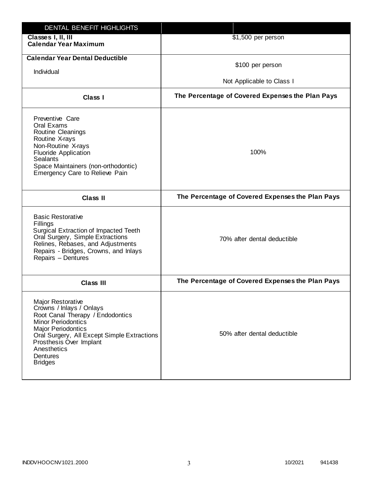| DENTAL BENEFIT HIGHLIGHTS                                                                                                                                                                                                                                          |                                                  |
|--------------------------------------------------------------------------------------------------------------------------------------------------------------------------------------------------------------------------------------------------------------------|--------------------------------------------------|
| Classes I, II, III<br><b>Calendar Year Maximum</b>                                                                                                                                                                                                                 | \$1,500 per person                               |
| <b>Calendar Year Dental Deductible</b><br>Individual                                                                                                                                                                                                               | \$100 per person<br>Not Applicable to Class I    |
| Class I                                                                                                                                                                                                                                                            | The Percentage of Covered Expenses the Plan Pays |
| Preventive Care<br>Oral Exams<br>Routine Cleanings<br>Routine X-rays<br>Non-Routine X-rays<br><b>Fluoride Application</b><br><b>Sealants</b><br>Space Maintainers (non-orthodontic)<br>Emergency Care to Relieve Pain                                              | 100%                                             |
| <b>Class II</b>                                                                                                                                                                                                                                                    | The Percentage of Covered Expenses the Plan Pays |
| <b>Basic Restorative</b><br>Fillings<br>Surgical Extraction of Impacted Teeth<br>Oral Surgery, Simple Extractions<br>Relines, Rebases, and Adjustments<br>Repairs - Bridges, Crowns, and Inlays<br>Repairs - Dentures                                              | 70% after dental deductible                      |
| <b>Class III</b>                                                                                                                                                                                                                                                   | The Percentage of Covered Expenses the Plan Pays |
| Major Restorative<br>Crowns / Inlays / Onlays<br>Root Canal Therapy / Endodontics<br><b>Minor Periodontics</b><br><b>Major Periodontics</b><br>Oral Surgery, All Except Simple Extractions<br>Prosthesis Over Implant<br>Anesthetics<br>Dentures<br><b>Bridges</b> | 50% after dental deductible                      |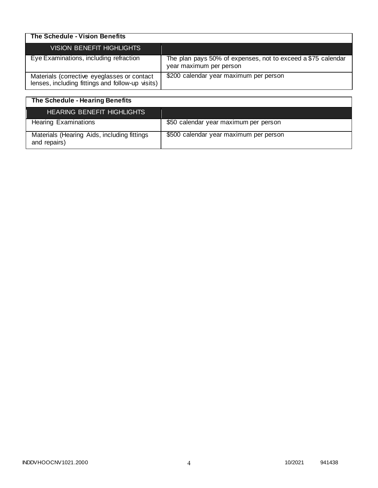| The Schedule - Vision Benefits                                                                  |                                                                                         |
|-------------------------------------------------------------------------------------------------|-----------------------------------------------------------------------------------------|
| VISION BENEFIT HIGHLIGHTS                                                                       |                                                                                         |
| Eye Examinations, including refraction                                                          | The plan pays 50% of expenses, not to exceed a \$75 calendar<br>year maximum per person |
| Materials (corrective eyeglasses or contact<br>lenses, including fittings and follow-up visits) | \$200 calendar year maximum per person                                                  |

| The Schedule - Hearing Benefits                             |                                        |
|-------------------------------------------------------------|----------------------------------------|
| <b>HEARING BENEFIT HIGHLIGHTS</b>                           |                                        |
| <b>Hearing Examinations</b>                                 | \$50 calendar year maximum per person  |
| Materials (Hearing Aids, including fittings<br>and repairs) | \$500 calendar year maximum per person |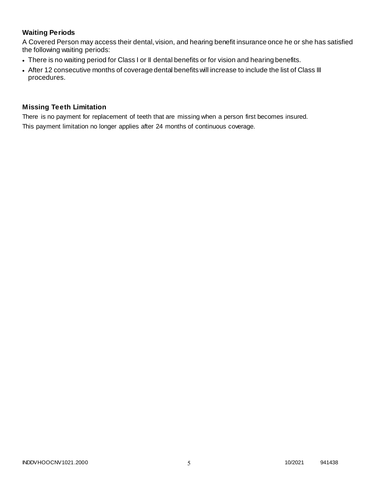# **Waiting Periods**

A Covered Person may access their dental, vision, and hearing benefit insurance once he or she has satisfied the following waiting periods:

- There is no waiting period for Class I or II dental benefits or for vision and hearing benefits.
- After 12 consecutive months of coverage dental benefits will increase to include the list of Class III procedures.

### **Missing Teeth Limitation**

There is no payment for replacement of teeth that are missing when a person first becomes insured. This payment limitation no longer applies after 24 months of continuous coverage.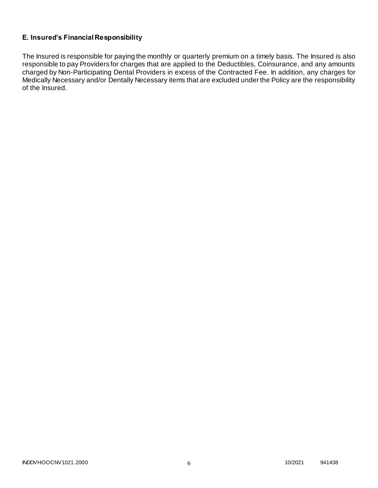# **E. Insured's Financial Responsibility**

The Insured is responsible for paying the monthly or quarterly premium on a timely basis. The Insured is also responsible to pay Providers for charges that are applied to the Deductibles, Coinsurance, and any amounts charged by Non-Participating Dental Providers in excess of the Contracted Fee. In addition, any charges for Medically Necessary and/or Dentally Necessary items that are excluded under the Policy are the responsibility of the Insured.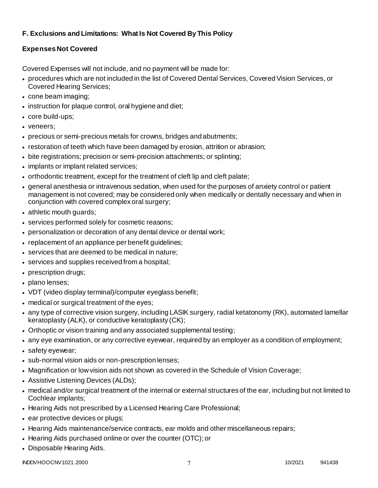# **F. Exclusions and Limitations: What Is Not Covered By This Policy**

# **Expenses Not Covered**

Covered Expenses will not include, and no payment will be made for:

- procedures which are not included in the list of Covered Dental Services, Covered Vision Services, or Covered Hearing Services;
- cone beam imaging;
- instruction for plaque control, oral hygiene and diet;
- core build-ups;
- veneers;
- precious or semi-precious metals for crowns, bridges and abutments;
- restoration of teeth which have been damaged by erosion, attrition or abrasion;
- bite registrations; precision or semi-precision attachments; or splinting;
- implants or implant related services;
- orthodontic treatment, except for the treatment of cleft lip and cleft palate;
- general anesthesia or intravenous sedation, when used for the purposes of anxiety control o r patient management is not covered; may be considered only when medically or dentally necessary and when in conjunction with covered complex oral surgery;
- athletic mouth guards;
- services performed solely for cosmetic reasons;
- personalization or decoration of any dental device or dental work;
- replacement of an appliance per benefit guidelines;
- services that are deemed to be medical in nature;
- services and supplies received from a hospital;
- prescription drugs;
- plano lenses:
- VDT (video display terminal)/computer eyeglass benefit;
- medical or surgical treatment of the eyes;
- any type of corrective vision surgery, including LASIK surgery, radial ketatonomy (RK), automated lamellar keratoplasty (ALK), or conductive keratoplasty (CK);
- Orthoptic or vision training and any associated supplemental testing;
- any eye examination, or any corrective eyewear, required by an employer as a condition of employment;
- safety eyewear;
- sub-normal vision aids or non-prescription lenses;
- Magnification or low vision aids not shown as covered in the Schedule of Vision Coverage;
- Assistive Listening Devices (ALDs);
- medical and/or surgical treatment of the internal or external structures of the ear, including but not limited to Cochlear implants;
- Hearing Aids not prescribed by a Licensed Hearing Care Professional;
- ear protective devices or plugs;
- Hearing Aids maintenance/service contracts, ear molds and other miscellaneous repairs;
- Hearing Aids purchased online or over the counter (OTC); or
- Disposable Hearing Aids.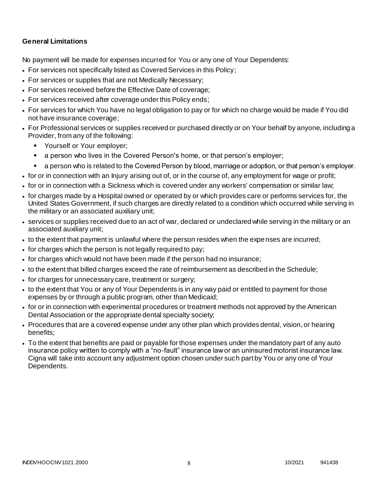## **General Limitations**

No payment will be made for expenses incurred for You or any one of Your Dependents:

- For services not specifically listed as Covered Services in this Policy;
- For services or supplies that are not Medically Necessary;
- For services received before the Effective Date of coverage;
- For services received after coverage under this Policy ends;
- For services for which You have no legal obligation to pay or for which no charge would be made if You did not have insurance coverage;
- For Professional services or supplies received or purchased directly or on Your behalf by anyone, including a Provider, from any of the following:
	- **Yourself or Your employer;**
	- a person who lives in the Covered Person's home, or that person's employer;
	- a person who is related to the Covered Person by blood, marriage or adoption, or that person's employer.
- for or in connection with an Injury arising out of, or in the course of, any employment for wage or profit;
- for or in connection with a Sickness which is covered under any workers' compensation or similar law;
- for charges made by a Hospital owned or operated by or which provides care or performs services for, the United States Government, if such charges are directly related to a condition which occurred while serving in the military or an associated auxiliary unit;
- services or supplies received due to an act of war, declared or undeclared while serving in the military or an associated auxiliary unit;
- to the extent that payment is unlawful where the person resides when the expenses are incurred;
- for charges which the person is not legally required to pay;
- for charges which would not have been made if the person had no insurance;
- to the extent that billed charges exceed the rate of reimbursement as described in the Schedule;
- for charges for unnecessary care, treatment or surgery;
- to the extent that You or any of Your Dependents is in any way paid or entitled to payment for those expenses by or through a public program, other than Medicaid;
- for or in connection with experimental procedures or treatment methods not approved by the American Dental Association or the appropriate dental specialty society;
- Procedures that are a covered expense under any other plan which provides dental, vision, or hearing benefits;
- To the extent that benefits are paid or payable for those expenses under the mandatory part of any auto insurance policy written to comply with a "no-fault" insurance law or an uninsured motorist insurance law. Cigna will take into account any adjustment option chosen under such part by You or any one of Your Dependents.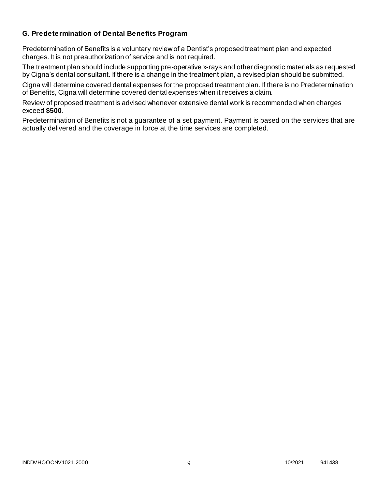### **G. Predetermination of Dental Benefits Program**

Predetermination of Benefits is a voluntary review of a Dentist's proposed treatment plan and expected charges. It is not preauthorization of service and is not required.

The treatment plan should include supporting pre-operative x-rays and other diagnostic materials as requested by Cigna's dental consultant. If there is a change in the treatment plan, a revised plan should be submitted.

Cigna will determine covered dental expenses for the proposed treatment plan. If there is no Predetermination of Benefits, Cigna will determine covered dental expenses when it receives a claim.

Review of proposed treatment is advised whenever extensive dental work is recommended when charges exceed **\$500**.

Predetermination of Benefits is not a guarantee of a set payment. Payment is based on the services that are actually delivered and the coverage in force at the time services are completed.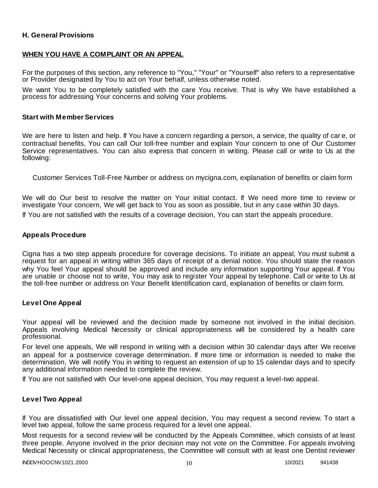### **H. General Provisions**

### **WHEN YOU HAVE A COMPLAINT OR AN APPEAL**

For the purposes of this section, any reference to "You," "Your" or "Yourself" also refers to a representative or Provider designated by You to act on Your behalf, unless otherwise noted.

We want You to be completely satisfied with the care You receive. That is why We have established a process for addressing Your concerns and solving Your problems.

#### **Start with Member Services**

We are here to listen and help. If You have a concern regarding a person, a service, the quality of car e, or contractual benefits, You can call Our toll-free number and explain Your concern to one of Our Customer Service representatives. You can also express that concern in writing. Please call or write to Us at the following:

Customer Services Toll-Free Number or address on mycigna.com, explanation of benefits or claim form

We will do Our best to resolve the matter on Your initial contact. If We need more time to review or investigate Your concern, We will get back to You as soon as possible, but in any case within 30 days.

If You are not satisfied with the results of a coverage decision, You can start the appeals procedure.

#### **Appeals Procedure**

Cigna has a two step appeals procedure for coverage decisions. To initiate an appeal, You must submit a request for an appeal in writing within 365 days of receipt of a denial notice. You should state the reason why You feel Your appeal should be approved and include any information supporting Your appeal. If You are unable or choose not to write, You may ask to register Your appeal by telephone. Call or write to Us at the toll-free number or address on Your Benefit Identification card, explanation of benefits or claim form.

#### **Level One Appeal**

Your appeal will be reviewed and the decision made by someone not involved in the initial decision. Appeals involving Medical Necessity or clinical appropriateness will be considered by a health care professional.

For level one appeals, We will respond in writing with a decision within 30 calendar days after We receive an appeal for a postservice coverage determination. If more time or information is needed to make the determination, We will notify You in writing to request an extension of up to 15 calendar days and to specify any additional information needed to complete the review.

If You are not satisfied with Our level-one appeal decision, You may request a level-two appeal.

#### **Level Two Appeal**

If You are dissatisfied with Our level one appeal decision, You may request a second review. To start a level two appeal, follow the same process required for a level one appeal.

Most requests for a second review will be conducted by the Appeals Committee, which consists of at least three people. Anyone involved in the prior decision may not vote on the Committee. For appeals involving Medical Necessity or clinical appropriateness, the Committee will consult with at least one Dentist reviewer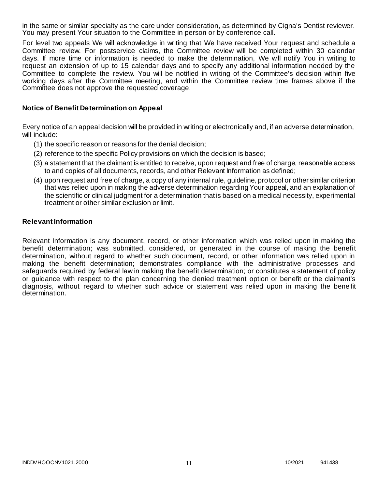in the same or similar specialty as the care under consideration, as determined by Cigna's Dentist reviewer. You may present Your situation to the Committee in person or by conference call.

For level two appeals We will acknowledge in writing that We have received Your request and schedule a Committee review. For postservice claims, the Committee review will be completed within 30 calendar days. If more time or information is needed to make the determination, We will notify You in writing to request an extension of up to 15 calendar days and to specify any additional information needed by the Committee to complete the review. You will be notified in writing of the Committee's decision within five working days after the Committee meeting, and within the Committee review time frames above if the Committee does not approve the requested coverage.

### **Notice of Benefit Determination on Appeal**

Every notice of an appeal decision will be provided in writing or electronically and, if an adverse determination, will include:

- (1) the specific reason or reasons for the denial decision;
- (2) reference to the specific Policy provisions on which the decision is based;
- (3) a statement that the claimant is entitled to receive, upon request and free of charge, reasonable access to and copies of all documents, records, and other Relevant Information as defined;
- (4) upon request and free of charge, a copy of any internal rule, guideline, protocol or other similar criterion that was relied upon in making the adverse determination regarding Your appeal, and an explanation of the scientific or clinical judgment for a determination that is based on a medical necessity, experimental treatment or other similar exclusion or limit.

### **Relevant Information**

Relevant Information is any document, record, or other information which was relied upon in making the benefit determination; was submitted, considered, or generated in the course of making the benefit determination, without regard to whether such document, record, or other information was relied upon in making the benefit determination; demonstrates compliance with the administrative processes and safeguards required by federal law in making the benefit determination; or constitutes a statement of policy or guidance with respect to the plan concerning the denied treatment option or benefit or the claimant's diagnosis, without regard to whether such advice or statement was relied upon in making the bene fit determination.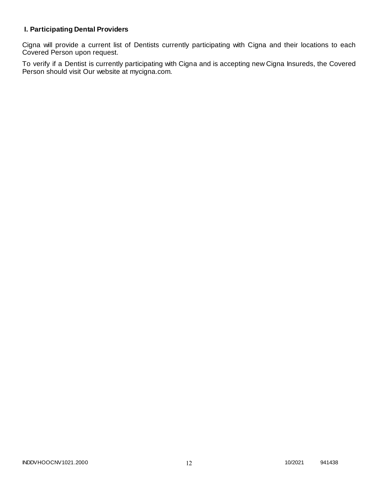# **I. Participating Dental Providers**

Cigna will provide a current list of Dentists currently participating with Cigna and their locations to each Covered Person upon request.

To verify if a Dentist is currently participating with Cigna and is accepting new Cigna Insureds, the Covered Person should visit Our website at mycigna.com.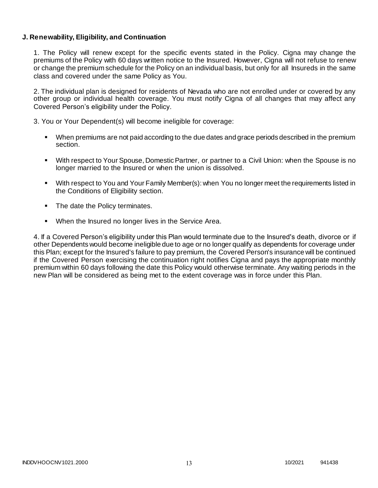### **J. Renewability, Eligibility, and Continuation**

1. The Policy will renew except for the specific events stated in the Policy. Cigna may change the premiums of the Policy with 60 days written notice to the Insured. However, Cigna will not refuse to renew or change the premium schedule for the Policy on an individual basis, but only for all Insureds in the same class and covered under the same Policy as You.

2. The individual plan is designed for residents of Nevada who are not enrolled under or covered by any other group or individual health coverage. You must notify Cigna of all changes that may affect any Covered Person's eligibility under the Policy.

3. You or Your Dependent(s) will become ineligible for coverage:

- When premiums are not paid according to the due dates and grace periods described in the premium section.
- With respect to Your Spouse, Domestic Partner, or partner to a Civil Union: when the Spouse is no longer married to the Insured or when the union is dissolved.
- With respect to You and Your Family Member(s): when You no longer meet the requirements listed in the Conditions of Eligibility section.
- The date the Policy terminates.
- When the Insured no longer lives in the Service Area.

4. If a Covered Person's eligibility under this Plan would terminate due to the Insured's death, divorce or if other Dependents would become ineligible due to age or no longer qualify as dependents for coverage under this Plan; except for the Insured's failure to pay premium, the Covered Person's insurance will be continued if the Covered Person exercising the continuation right notifies Cigna and pays the appropriate monthly premium within 60 days following the date this Policy would otherwise terminate. Any waiting periods in the new Plan will be considered as being met to the extent coverage was in force under this Plan.